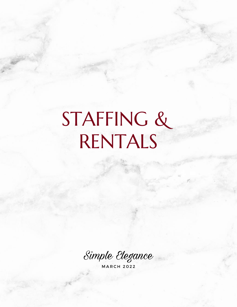# STAFFING & RENTALS

Simple Elegance

M A R C H 2 0 2 2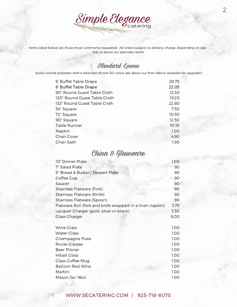

Items listed below are those most commonly requested. All orders subject to delivery charge, depending on size. Ask us about our specialty items!

#### Standard Linens

(solid colored polyester with a selection of over 50 colors. ask about our finer fabrics available for upgrade!)

| 6' Buffet Table Drape        | 20.75 |
|------------------------------|-------|
| 8' Buffet Table Drape        | 22.05 |
| 90" Round Guest Table Cloth  | 12.30 |
| 120" Round Guest Table Cloth | 19.20 |
| 132" Round Guest Table Cloth | 22.80 |
| 54" Square                   | 7.50  |
| 72" Square                   | 10.50 |
| 90" Square                   | 12.50 |
| <b>Table Runner</b>          | 10.35 |
| Napkin                       | 1.00  |
| <b>Chair Cover</b>           | 4.90  |
| Chair Sash                   | 1.90  |

#### China & Glassware

| 10" Dinner Plate                                         | 1.00 |
|----------------------------------------------------------|------|
| 7" Salad Plate                                           | .90  |
| 5" Bread & Butter / Dessert Plate                        | .90  |
| Coffee Cup                                               | .90  |
| Saucer                                                   | .90  |
| Stainless Flatware (Fork)                                | .90  |
| Stainless Flatware (Knife)                               | .90  |
| Stainless Flatware (Spoon)                               | .90  |
| Flatware Roll (fork and knife wrapped in a linen napkin) | 3.75 |
| Lacquer Charger (gold, silver or black)                  | 3.50 |
| <b>Glass Charger</b>                                     | 6.00 |
|                                                          |      |
| <b>Wine Glass</b>                                        | 1.00 |
| <b>Water Glass</b>                                       | 1.00 |
| Champagne Flute                                          | 1.00 |
| <b>Rocks Glasses</b>                                     | 1.00 |
| Beer Pilsner                                             | 1.00 |
| <b>Hiball Glass</b>                                      | 1.00 |
| <b>Glass Coffee Mug</b>                                  | 1.00 |
| <b>Balloon Red Wine</b>                                  | 1.00 |
| Martini                                                  | 1.00 |
| Mason Jar, 16oz                                          | 1.00 |